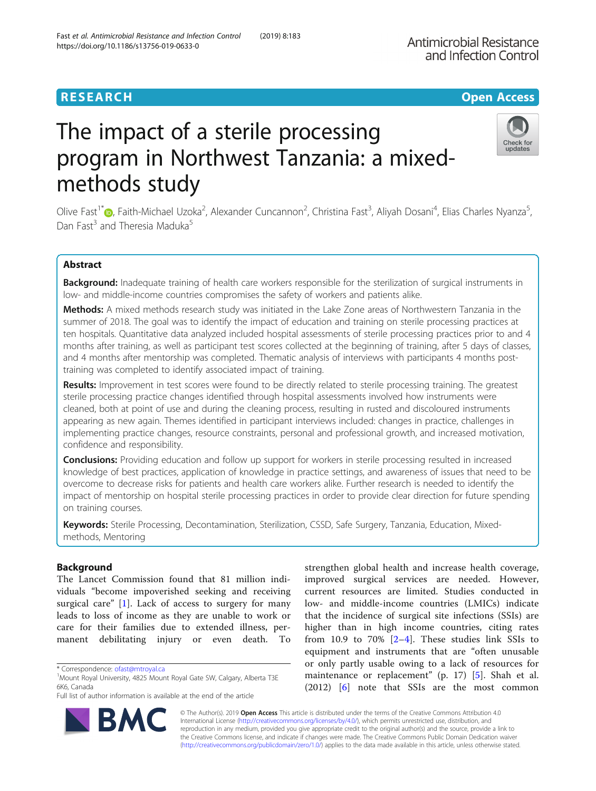# **RESEARCH CHE Open Access**

# The impact of a sterile processing program in Northwest Tanzania: a mixedmethods study

Olive Fast<sup>1\*</sup>�[,](http://orcid.org/0000-0001-7709-1981) Faith-Michael Uzoka<sup>2</sup>, Alexander Cuncannon<sup>2</sup>, Christina Fast<sup>3</sup>, Aliyah Dosani<sup>4</sup>, Elias Charles Nyanza<sup>5</sup> Dan Fast<sup>3</sup> and Theresia Maduka<sup>5</sup>

# Abstract

Background: Inadequate training of health care workers responsible for the sterilization of surgical instruments in low- and middle-income countries compromises the safety of workers and patients alike.

Methods: A mixed methods research study was initiated in the Lake Zone areas of Northwestern Tanzania in the summer of 2018. The goal was to identify the impact of education and training on sterile processing practices at ten hospitals. Quantitative data analyzed included hospital assessments of sterile processing practices prior to and 4 months after training, as well as participant test scores collected at the beginning of training, after 5 days of classes, and 4 months after mentorship was completed. Thematic analysis of interviews with participants 4 months posttraining was completed to identify associated impact of training.

Results: Improvement in test scores were found to be directly related to sterile processing training. The greatest sterile processing practice changes identified through hospital assessments involved how instruments were cleaned, both at point of use and during the cleaning process, resulting in rusted and discoloured instruments appearing as new again. Themes identified in participant interviews included: changes in practice, challenges in implementing practice changes, resource constraints, personal and professional growth, and increased motivation, confidence and responsibility.

**Conclusions:** Providing education and follow up support for workers in sterile processing resulted in increased knowledge of best practices, application of knowledge in practice settings, and awareness of issues that need to be overcome to decrease risks for patients and health care workers alike. Further research is needed to identify the impact of mentorship on hospital sterile processing practices in order to provide clear direction for future spending on training courses.

Keywords: Sterile Processing, Decontamination, Sterilization, CSSD, Safe Surgery, Tanzania, Education, Mixedmethods, Mentoring

# Background

The Lancet Commission found that 81 million individuals "become impoverished seeking and receiving surgical care" [[1\]](#page-4-0). Lack of access to surgery for many leads to loss of income as they are unable to work or care for their families due to extended illness, permanent debilitating injury or even death. To

\* Correspondence: [ofast@mtroyal.ca](mailto:ofast@mtroyal.ca) <sup>1</sup>

Full list of author information is available at the end of the article

strengthen global health and increase health coverage, improved surgical services are needed. However, current resources are limited. Studies conducted in low- and middle-income countries (LMICs) indicate that the incidence of surgical site infections (SSIs) are higher than in high income countries, citing rates from 10.9 to 70%  $[2-4]$  $[2-4]$  $[2-4]$  $[2-4]$ . These studies link SSIs to equipment and instruments that are "often unusable or only partly usable owing to a lack of resources for maintenance or replacement" (p. 17) [[5](#page-4-0)]. Shah et al. (2012) [[6](#page-4-0)] note that SSIs are the most common

© The Author(s). 2019 **Open Access** This article is distributed under the terms of the Creative Commons Attribution 4.0 International License [\(http://creativecommons.org/licenses/by/4.0/](http://creativecommons.org/licenses/by/4.0/)), which permits unrestricted use, distribution, and reproduction in any medium, provided you give appropriate credit to the original author(s) and the source, provide a link to the Creative Commons license, and indicate if changes were made. The Creative Commons Public Domain Dedication waiver [\(http://creativecommons.org/publicdomain/zero/1.0/](http://creativecommons.org/publicdomain/zero/1.0/)) applies to the data made available in this article, unless otherwise stated.





,

<sup>&</sup>lt;sup>1</sup>Mount Royal University, 4825 Mount Royal Gate SW, Calgary, Alberta T3E 6K6, Canada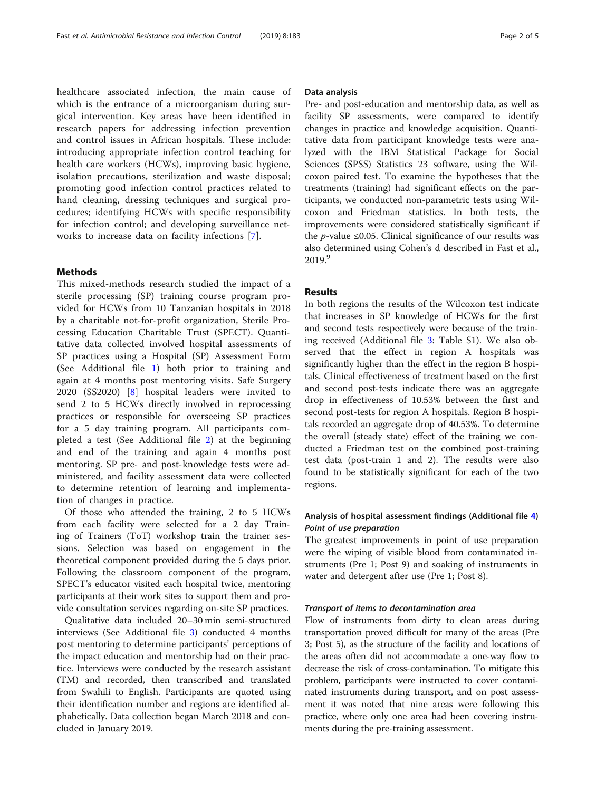healthcare associated infection, the main cause of which is the entrance of a microorganism during surgical intervention. Key areas have been identified in research papers for addressing infection prevention and control issues in African hospitals. These include: introducing appropriate infection control teaching for health care workers (HCWs), improving basic hygiene, isolation precautions, sterilization and waste disposal; promoting good infection control practices related to hand cleaning, dressing techniques and surgical procedures; identifying HCWs with specific responsibility for infection control; and developing surveillance networks to increase data on facility infections [[7\]](#page-4-0).

## Methods

This mixed-methods research studied the impact of a sterile processing (SP) training course program provided for HCWs from 10 Tanzanian hospitals in 2018 by a charitable not-for-profit organization, Sterile Processing Education Charitable Trust (SPECT). Quantitative data collected involved hospital assessments of SP practices using a Hospital (SP) Assessment Form (See Additional file [1\)](#page-3-0) both prior to training and again at 4 months post mentoring visits. Safe Surgery 2020 (SS2020) [\[8](#page-4-0)] hospital leaders were invited to send 2 to 5 HCWs directly involved in reprocessing practices or responsible for overseeing SP practices for a 5 day training program. All participants completed a test (See Additional file [2\)](#page-3-0) at the beginning and end of the training and again 4 months post mentoring. SP pre- and post-knowledge tests were administered, and facility assessment data were collected to determine retention of learning and implementation of changes in practice.

Of those who attended the training, 2 to 5 HCWs from each facility were selected for a 2 day Training of Trainers (ToT) workshop train the trainer sessions. Selection was based on engagement in the theoretical component provided during the 5 days prior. Following the classroom component of the program, SPECT's educator visited each hospital twice, mentoring participants at their work sites to support them and provide consultation services regarding on-site SP practices.

Qualitative data included 20–30 min semi-structured interviews (See Additional file [3\)](#page-3-0) conducted 4 months post mentoring to determine participants' perceptions of the impact education and mentorship had on their practice. Interviews were conducted by the research assistant (TM) and recorded, then transcribed and translated from Swahili to English. Participants are quoted using their identification number and regions are identified alphabetically. Data collection began March 2018 and concluded in January 2019.

#### Data analysis

Pre- and post-education and mentorship data, as well as facility SP assessments, were compared to identify changes in practice and knowledge acquisition. Quantitative data from participant knowledge tests were analyzed with the IBM Statistical Package for Social Sciences (SPSS) Statistics 23 software, using the Wilcoxon paired test. To examine the hypotheses that the treatments (training) had significant effects on the participants, we conducted non-parametric tests using Wilcoxon and Friedman statistics. In both tests, the improvements were considered statistically significant if the *p*-value ≤0.05. Clinical significance of our results was also determined using Cohen's d described in Fast et al., 2019.<sup>9</sup>

#### **Results**

In both regions the results of the Wilcoxon test indicate that increases in SP knowledge of HCWs for the first and second tests respectively were because of the training received (Additional file [3](#page-3-0): Table S1). We also observed that the effect in region A hospitals was significantly higher than the effect in the region B hospitals. Clinical effectiveness of treatment based on the first and second post-tests indicate there was an aggregate drop in effectiveness of 10.53% between the first and second post-tests for region A hospitals. Region B hospitals recorded an aggregate drop of 40.53%. To determine the overall (steady state) effect of the training we conducted a Friedman test on the combined post-training test data (post-train 1 and 2). The results were also found to be statistically significant for each of the two regions.

# Analysis of hospital assessment findings (Additional file [4\)](#page-3-0) Point of use preparation

The greatest improvements in point of use preparation were the wiping of visible blood from contaminated instruments (Pre 1; Post 9) and soaking of instruments in water and detergent after use (Pre 1; Post 8).

#### Transport of items to decontamination area

Flow of instruments from dirty to clean areas during transportation proved difficult for many of the areas (Pre 3; Post 5), as the structure of the facility and locations of the areas often did not accommodate a one-way flow to decrease the risk of cross-contamination. To mitigate this problem, participants were instructed to cover contaminated instruments during transport, and on post assessment it was noted that nine areas were following this practice, where only one area had been covering instruments during the pre-training assessment.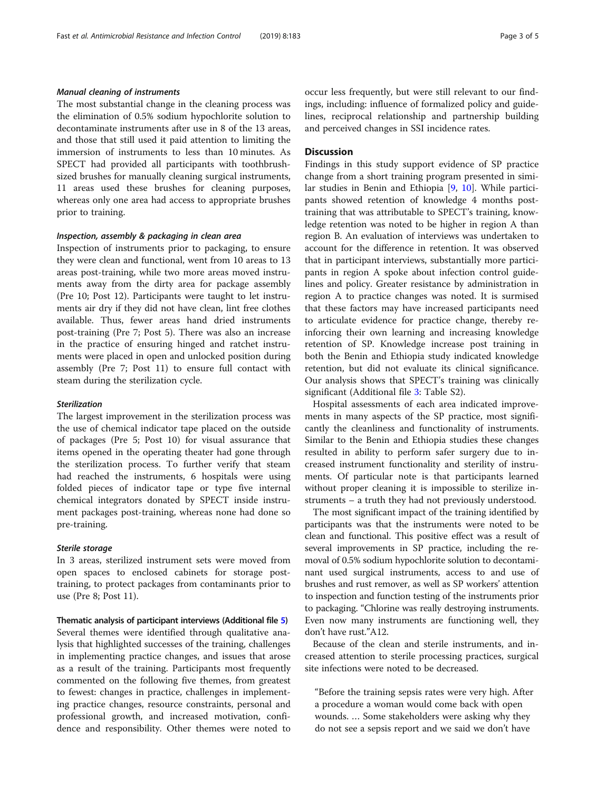## Manual cleaning of instruments

The most substantial change in the cleaning process was the elimination of 0.5% sodium hypochlorite solution to decontaminate instruments after use in 8 of the 13 areas, and those that still used it paid attention to limiting the immersion of instruments to less than 10 minutes. As SPECT had provided all participants with toothbrushsized brushes for manually cleaning surgical instruments, 11 areas used these brushes for cleaning purposes, whereas only one area had access to appropriate brushes prior to training.

#### Inspection, assembly & packaging in clean area

Inspection of instruments prior to packaging, to ensure they were clean and functional, went from 10 areas to 13 areas post-training, while two more areas moved instruments away from the dirty area for package assembly (Pre 10; Post 12). Participants were taught to let instruments air dry if they did not have clean, lint free clothes available. Thus, fewer areas hand dried instruments post-training (Pre 7; Post 5). There was also an increase in the practice of ensuring hinged and ratchet instruments were placed in open and unlocked position during assembly (Pre 7; Post 11) to ensure full contact with steam during the sterilization cycle.

#### Sterilization

The largest improvement in the sterilization process was the use of chemical indicator tape placed on the outside of packages (Pre 5; Post 10) for visual assurance that items opened in the operating theater had gone through the sterilization process. To further verify that steam had reached the instruments, 6 hospitals were using folded pieces of indicator tape or type five internal chemical integrators donated by SPECT inside instrument packages post-training, whereas none had done so pre-training.

#### Sterile storage

In 3 areas, sterilized instrument sets were moved from open spaces to enclosed cabinets for storage posttraining, to protect packages from contaminants prior to use (Pre 8; Post 11).

Thematic analysis of participant interviews (Additional file [5](#page-3-0)) Several themes were identified through qualitative analysis that highlighted successes of the training, challenges in implementing practice changes, and issues that arose as a result of the training. Participants most frequently commented on the following five themes, from greatest to fewest: changes in practice, challenges in implementing practice changes, resource constraints, personal and professional growth, and increased motivation, confidence and responsibility. Other themes were noted to occur less frequently, but were still relevant to our findings, including: influence of formalized policy and guidelines, reciprocal relationship and partnership building and perceived changes in SSI incidence rates.

### Discussion

Findings in this study support evidence of SP practice change from a short training program presented in similar studies in Benin and Ethiopia [\[9](#page-4-0), [10](#page-4-0)]. While participants showed retention of knowledge 4 months posttraining that was attributable to SPECT's training, knowledge retention was noted to be higher in region A than region B. An evaluation of interviews was undertaken to account for the difference in retention. It was observed that in participant interviews, substantially more participants in region A spoke about infection control guidelines and policy. Greater resistance by administration in region A to practice changes was noted. It is surmised that these factors may have increased participants need to articulate evidence for practice change, thereby reinforcing their own learning and increasing knowledge retention of SP. Knowledge increase post training in both the Benin and Ethiopia study indicated knowledge retention, but did not evaluate its clinical significance. Our analysis shows that SPECT's training was clinically significant (Additional file [3:](#page-3-0) Table S2).

Hospital assessments of each area indicated improvements in many aspects of the SP practice, most significantly the cleanliness and functionality of instruments. Similar to the Benin and Ethiopia studies these changes resulted in ability to perform safer surgery due to increased instrument functionality and sterility of instruments. Of particular note is that participants learned without proper cleaning it is impossible to sterilize instruments – a truth they had not previously understood.

The most significant impact of the training identified by participants was that the instruments were noted to be clean and functional. This positive effect was a result of several improvements in SP practice, including the removal of 0.5% sodium hypochlorite solution to decontaminant used surgical instruments, access to and use of brushes and rust remover, as well as SP workers' attention to inspection and function testing of the instruments prior to packaging. "Chlorine was really destroying instruments. Even now many instruments are functioning well, they don't have rust."A12.

Because of the clean and sterile instruments, and increased attention to sterile processing practices, surgical site infections were noted to be decreased.

"Before the training sepsis rates were very high. After a procedure a woman would come back with open wounds. … Some stakeholders were asking why they do not see a sepsis report and we said we don't have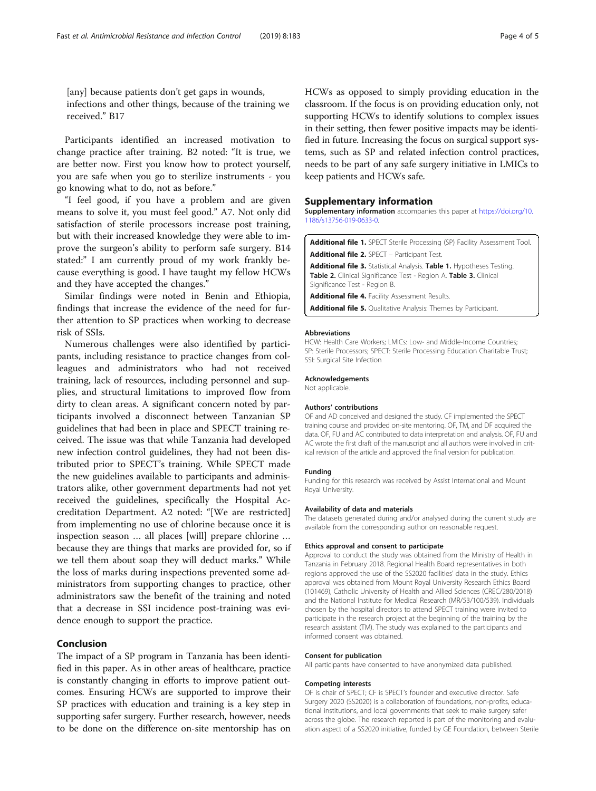<span id="page-3-0"></span>[any] because patients don't get gaps in wounds, infections and other things, because of the training we received." B17

Participants identified an increased motivation to change practice after training. B2 noted: "It is true, we are better now. First you know how to protect yourself, you are safe when you go to sterilize instruments - you go knowing what to do, not as before."

"I feel good, if you have a problem and are given means to solve it, you must feel good." A7. Not only did satisfaction of sterile processors increase post training, but with their increased knowledge they were able to improve the surgeon's ability to perform safe surgery. B14 stated:" I am currently proud of my work frankly because everything is good. I have taught my fellow HCWs and they have accepted the changes."

Similar findings were noted in Benin and Ethiopia, findings that increase the evidence of the need for further attention to SP practices when working to decrease risk of SSIs.

Numerous challenges were also identified by participants, including resistance to practice changes from colleagues and administrators who had not received training, lack of resources, including personnel and supplies, and structural limitations to improved flow from dirty to clean areas. A significant concern noted by participants involved a disconnect between Tanzanian SP guidelines that had been in place and SPECT training received. The issue was that while Tanzania had developed new infection control guidelines, they had not been distributed prior to SPECT's training. While SPECT made the new guidelines available to participants and administrators alike, other government departments had not yet received the guidelines, specifically the Hospital Accreditation Department. A2 noted: "[We are restricted] from implementing no use of chlorine because once it is inspection season … all places [will] prepare chlorine … because they are things that marks are provided for, so if we tell them about soap they will deduct marks." While the loss of marks during inspections prevented some administrators from supporting changes to practice, other administrators saw the benefit of the training and noted that a decrease in SSI incidence post-training was evidence enough to support the practice.

# Conclusion

The impact of a SP program in Tanzania has been identified in this paper. As in other areas of healthcare, practice is constantly changing in efforts to improve patient outcomes. Ensuring HCWs are supported to improve their SP practices with education and training is a key step in supporting safer surgery. Further research, however, needs to be done on the difference on-site mentorship has on

HCWs as opposed to simply providing education in the classroom. If the focus is on providing education only, not supporting HCWs to identify solutions to complex issues in their setting, then fewer positive impacts may be identified in future. Increasing the focus on surgical support systems, such as SP and related infection control practices, needs to be part of any safe surgery initiative in LMICs to keep patients and HCWs safe.

#### Supplementary information

Supplementary information accompanies this paper at [https://doi.org/10.](https://doi.org/10.1186/s13756-019-0633-0) [1186/s13756-019-0633-0.](https://doi.org/10.1186/s13756-019-0633-0)

Additional file 1. SPECT Sterile Processing (SP) Facility Assessment Tool. Additional file 2. SPECT - Participant Test.

Additional file 3. Statistical Analysis. Table 1. Hypotheses Testing. Table 2. Clinical Significance Test - Region A. Table 3. Clinical Significance Test - Region B.

Additional file 4. Facility Assessment Results.

Additional file 5. Qualitative Analysis: Themes by Participant.

#### Abbreviations

HCW: Health Care Workers; LMICs: Low- and Middle-Income Countries; SP: Sterile Processors; SPECT: Sterile Processing Education Charitable Trust; SSI: Surgical Site Infection

#### Acknowledgements

Not applicable.

#### Authors' contributions

OF and AD conceived and designed the study. CF implemented the SPECT training course and provided on-site mentoring. OF, TM, and DF acquired the data. OF, FU and AC contributed to data interpretation and analysis. OF, FU and AC wrote the first draft of the manuscript and all authors were involved in critical revision of the article and approved the final version for publication.

#### Funding

Funding for this research was received by Assist International and Mount Royal University.

#### Availability of data and materials

The datasets generated during and/or analysed during the current study are available from the corresponding author on reasonable request.

#### Ethics approval and consent to participate

Approval to conduct the study was obtained from the Ministry of Health in Tanzania in February 2018. Regional Health Board representatives in both regions approved the use of the SS2020 facilities' data in the study. Ethics approval was obtained from Mount Royal University Research Ethics Board (101469), Catholic University of Health and Allied Sciences (CREC/280/2018) and the National Institute for Medical Research (MR/53/100/539). Individuals chosen by the hospital directors to attend SPECT training were invited to participate in the research project at the beginning of the training by the research assistant (TM). The study was explained to the participants and informed consent was obtained.

#### Consent for publication

All participants have consented to have anonymized data published.

#### Competing interests

OF is chair of SPECT; CF is SPECT's founder and executive director. Safe Surgery 2020 (SS2020) is a collaboration of foundations, non-profits, educational institutions, and local governments that seek to make surgery safer across the globe. The research reported is part of the monitoring and evaluation aspect of a SS2020 initiative, funded by GE Foundation, between Sterile